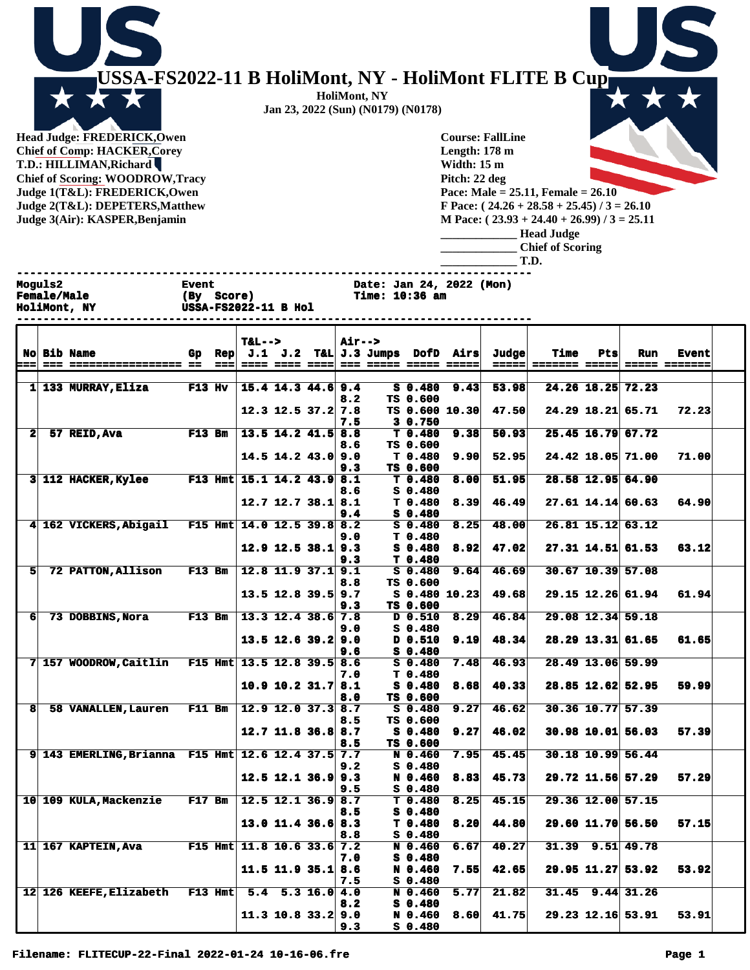

**Head Judge: FREDERICK,Owen Chief of Comp: HACKER,Corey T.D.: HILLIMAN,Richard Chief of Scoring: WOODROW,Tracy Judge 1(T&L): FREDERICK,Owen Judge 2(T&L): DEPETERS,Matthew Judge 3(Air): KASPER,Benjamin** 

**Course: FallLine Length: 178 m Width: 15 m Pitch: 22 deg Pace: Male = 25.11, Female = 26.10 F Pace: ( 24.26 + 28.58 + 25.45) / 3 = 26.10 M Pace: ( 23.93 + 24.40 + 26.99) / 3 = 25.11 \_\_\_\_\_\_\_\_\_\_\_\_\_ Head Judge \_\_\_\_\_\_\_\_\_\_\_\_\_ Chief of Scoring \_\_\_\_\_\_\_\_\_\_\_\_\_ T.D.**

|                      | Moguls2 | <b>Female/Male</b><br>HoliMont, NY | <b>Event</b><br>(By Score) |                | <b>USSA-FS2022-11 B Hol</b>  |                            |                  | Date: Jan 24, 2022 (Mon)<br>Time: 10:36 am |                                 |                       |       |      |     |                     |              |
|----------------------|---------|------------------------------------|----------------------------|----------------|------------------------------|----------------------------|------------------|--------------------------------------------|---------------------------------|-----------------------|-------|------|-----|---------------------|--------------|
|                      |         | <b>No Bib Name</b>                 | Gp.                        | $\mathbf{Rep}$ | $T_{\alpha}$ L $\rightarrow$ | J.1 J.2                    | <b>Air--&gt;</b> | T&L J.3 Jumps DofD Airs                    |                                 |                       | Judge | Time | Pts | Run                 | <b>Event</b> |
|                      |         |                                    |                            |                |                              |                            |                  |                                            |                                 |                       |       |      |     |                     |              |
| 1 <sup>1</sup>       |         | 133 MURRAY, Eliza                  | $F13$ Hv                   |                |                              | $15.4$ 14.3 44.6 9.4       | 8.2              |                                            | $S$ 0.480<br>TS 0.600           | 9.43                  | 53.98 |      |     | 24.26 18.25 72.23   |              |
|                      |         |                                    |                            |                |                              | $12.3$ 12.5 37.2           | 7.8<br>7.5       |                                            | 30.750                          | <b>TS 0.600 10.30</b> | 47.50 |      |     | $24.29$ 18.21 65.71 | 72.23        |
| $\mathbf{2}$         |         | 57 REID, Ava                       | $F13$ Bm                   |                |                              | $13.5$ $14.2$ $41.5$ $8.8$ | 8.6              |                                            | T 0.480<br>TS 0.600             | 9.38                  | 50.93 |      |     | $25.45$ 16.79 67.72 |              |
|                      |         |                                    |                            |                |                              | $14.5$ 14.2 43.0 9.0       | 9.3              |                                            | T <sub>0.480</sub><br>TS 0.600  | 9.90                  | 52.95 |      |     | 24.42 18.05 71.00   | 71.00        |
|                      |         | 3 112 HACKER, Kylee                |                            | $F13$ Hmt      |                              | $15.1$ $14.2$ $43.9$ $8.1$ | 8.6              |                                            | T 0.480<br>$S_0.480$            | 8.00                  | 51.95 |      |     | 28.58 12.95 64.90   |              |
|                      |         |                                    |                            |                |                              | $12.7$ 12.7 38.1 8.1       | 9.4              |                                            | T <sub>0.480</sub><br>$S_0.480$ | 8.39                  | 46.49 |      |     | $27.61$ 14.14 60.63 | 64.90        |
| $\blacktriangleleft$ |         | 162 VICKERS, Abigail               |                            | $F15$ Hmt      | $14.0$ 12.5 39.8 8.2         |                            | 9.0              |                                            | $S_0.480$<br>T <sub>0.480</sub> | 8.25                  | 48.00 |      |     | 26.81 15.12 63.12   |              |

**HoliMont, NY Jan 23, 2022 (Sun) (N0179) (N0178)**

|                |                                                    |  |                          | 8.6 | $S$ 0.480     |      |       |                        |       |  |
|----------------|----------------------------------------------------|--|--------------------------|-----|---------------|------|-------|------------------------|-------|--|
|                |                                                    |  | $12.7$ 12.7 38.1 8.1     |     | T 0.480       | 8.39 | 46.49 | $27.61$ 14.14 60.63    | 64.90 |  |
|                |                                                    |  |                          | 9.4 | S 0.480       |      |       |                        |       |  |
|                | 4 162 VICKERS, Abigail F15 Hmt 14.0 12.5 39.8 8.2  |  |                          |     | S 0.480       | 8.25 | 48.00 | 26.81 15.12 63.12      |       |  |
|                |                                                    |  |                          | 9.0 | T 0.480       |      |       |                        |       |  |
|                |                                                    |  | $12.9$ 12.5 38.1 9.3     |     | S 0.480       | 8.92 | 47.02 | 27.31 14.51 61.53      | 63.12 |  |
|                |                                                    |  |                          | 9.3 | T 0.480       |      |       |                        |       |  |
| 5 <sup>1</sup> | 72 PATTON, Allison F13 Bm                          |  | $12.8$ 11.9 37.1 9.1     |     | $S_0.480$     | 9.64 | 46.69 | $30.67$ 10.39 57.08    |       |  |
|                |                                                    |  |                          | 8.8 | TS 0.600      |      |       |                        |       |  |
|                |                                                    |  | 13.5 12.8 39.5 9.7       |     | S 0.480 10.23 |      | 49.68 | 29.15 12.26 61.94      | 61.94 |  |
|                |                                                    |  |                          | 9.3 | TS 0.600      |      |       |                        |       |  |
| 61             | 73 DOBBINS, Nora F13 Bm                            |  | $13.3$ 12.4 38.6 7.8     |     | D 0.510       | 8.29 | 46.84 | 29.08 12.34 59.18      |       |  |
|                |                                                    |  |                          | 9.0 | S 0.480       |      |       |                        |       |  |
|                |                                                    |  | $13.5$ 12.6 39.2 9.0     |     | D 0.510       | 9.19 | 48.34 | $28.29$ 13.31 61.65    | 61.65 |  |
|                |                                                    |  |                          | 9.6 | S 0.480       |      |       |                        |       |  |
|                | 7 157 WOODROW, Caitlin F15 Hmt 13.5 12.8 39.5 8.6  |  |                          |     | $S$ 0.480     | 7.48 | 46.93 | 28.49 13.06 59.99      |       |  |
|                |                                                    |  |                          | 7.0 | T 0.480       |      |       |                        |       |  |
|                |                                                    |  | $10.9$ 10.2 31.7 8.1     |     | S 0.480       | 8.68 | 40.33 | 28.85 12.62 52.95      | 59.99 |  |
|                |                                                    |  |                          | 8.0 | TS 0.600      |      |       |                        |       |  |
| $\mathbf{8}$   | 58 VANALLEN.Lauren F11 Bm                          |  | $12.9$ 12.0 37.3 8.7     |     | $S_0.480$     | 9.27 | 46.62 | 30.36 10.77 57.39      |       |  |
|                |                                                    |  |                          | 8.5 | TS 0.600      |      |       |                        |       |  |
|                |                                                    |  | $12.7$ 11.8 36.8 8.7     |     | S 0.480       | 9.27 | 46.02 | $30.98$ 10.01 56.03    | 57.39 |  |
|                |                                                    |  |                          | 8.5 | TS 0.600      |      |       |                        |       |  |
|                | 9 143 EMERLING, Brianna F15 Hmt 12.6 12.4 37.5 7.7 |  |                          |     | N 0.460       | 7.95 | 45.45 | 30.18 10.99 56.44      |       |  |
|                |                                                    |  |                          | 9.2 | S 0.480       |      |       |                        |       |  |
|                |                                                    |  | $12.5$ 12.1 36.9 9.3     |     | N 0.460       | 8.83 | 45.73 | 29.72 11.56 57.29      | 57.29 |  |
|                |                                                    |  |                          | 9.5 | S 0.480       |      |       |                        |       |  |
|                | 10 109 KULA, Mackenzie F17 Bm                      |  | $12.5$ 12.1 36.9 8.7     |     | T 0.480       | 8.25 | 45.15 | 29.36 12.00 57.15      |       |  |
|                |                                                    |  |                          | 8.5 | S 0.480       |      |       |                        |       |  |
|                |                                                    |  | $13.0$ 11.4 36.6 8.3     |     | T 0.480       | 8.20 | 44.80 | 29.60 11.70 56.50      | 57.15 |  |
|                |                                                    |  |                          | 8.8 | S 0.480       |      |       |                        |       |  |
|                | 11 167 KAPTEIN, Ava F15 Hmt 11.8 10.6 33.6 7.2     |  |                          |     | N 0.460       | 6.67 | 40.27 | $31.39$ $9.51$ $49.78$ |       |  |
|                |                                                    |  |                          | 7.0 | S 0.480       |      |       |                        |       |  |
|                |                                                    |  | $11.5$ 11.9 35.1 8.6     |     | N 0.460       | 7.55 | 42.65 | 29.95 11.27 53.92      | 53.92 |  |
|                |                                                    |  |                          | 7.5 | S 0.480       |      |       |                        |       |  |
|                | 12 126 KEEFE, Elizabeth F13 Hmt                    |  | $5.4$ $5.3$ $16.0$ $4.0$ |     | N 0.460       | 5.77 | 21.82 | $31.45$ $9.44$ $31.26$ |       |  |
|                |                                                    |  |                          | 8.2 | S 0.480       |      |       |                        |       |  |
|                |                                                    |  | $11.3$ 10.8 33.2 9.0     |     | N 0.460       | 8.60 | 41.75 | 29.23 12.16 53.91      | 53.91 |  |
|                |                                                    |  |                          | 9.3 | S 0.480       |      |       |                        |       |  |
|                |                                                    |  |                          |     |               |      |       |                        |       |  |

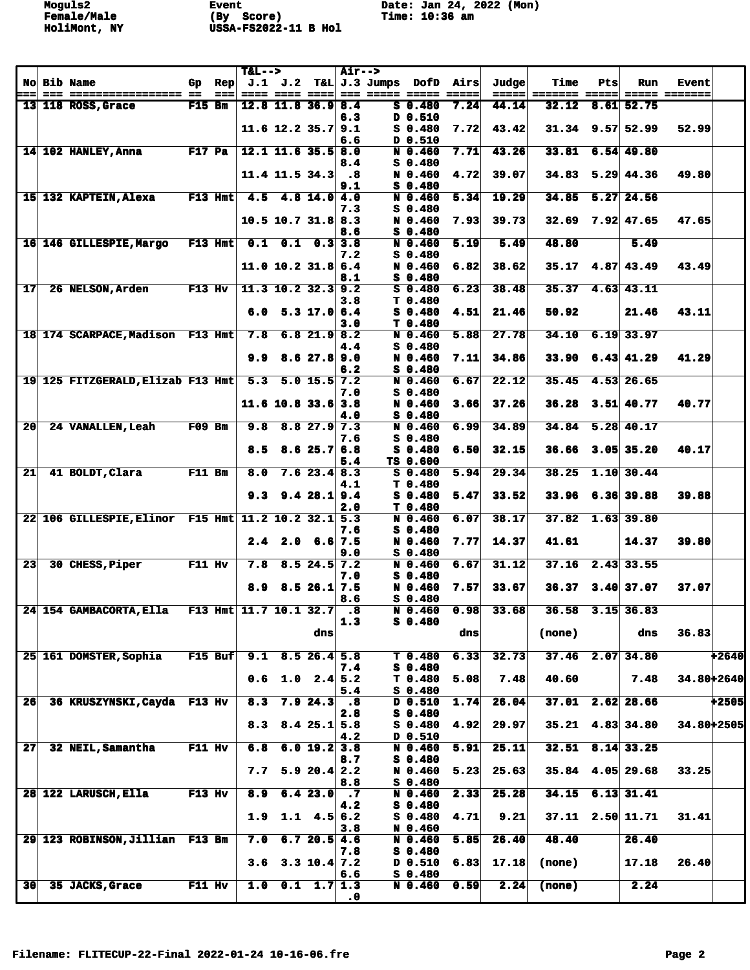|                 |                                                     |               |                        | $T&L-->$                 |                               |                           | <b>Air--&gt;</b>                   |                  |                      |      |                                     | Time                   | Pts |                          |                               |         |
|-----------------|-----------------------------------------------------|---------------|------------------------|--------------------------|-------------------------------|---------------------------|------------------------------------|------------------|----------------------|------|-------------------------------------|------------------------|-----|--------------------------|-------------------------------|---------|
| <u> ---</u>     | <b>No Bib Name</b><br>--- ----------------- --      | Gp            | $\mathbf{Rep}$<br>$==$ |                          | $J.1$ $J.2$<br>==== ==== ==== |                           |                                    | $T\&L$ J.3 Jumps | DofD                 | Airs | Judge<br>$=$ $=$ $=$ $=$ $=$ $\mid$ | ======= =====          |     | Run                      | <b>Event</b><br>===== ======= |         |
|                 | $13$   118 ROSS, Grace                              | F15 Bm        |                        |                          | $12.8$ 11.8 36.9 8.4          |                           |                                    |                  | $S$ 0.480            | 7.24 | 44.14                               | 32.12                  |     | $8.61$ 52.75             |                               |         |
|                 |                                                     |               |                        |                          | $11.6$ 12.2 35.7 9.1          |                           | 6.3                                |                  | D 0.510<br>$S$ 0.480 | 7.72 | 43.42                               | $31.34$ 9.57 52.99     |     |                          | 52.99                         |         |
|                 |                                                     |               |                        |                          |                               |                           | 6.6                                |                  | D 0.510              |      |                                     |                        |     |                          |                               |         |
|                 | $14$ 102 HANLEY, Anna                               | $F17$ Pa      |                        |                          | $12.1$ 11.6 35.5 8.0          |                           |                                    |                  | N 0.460              | 7.71 | 43.26                               | 33.81                  |     | $6.54$ 49.80             |                               |         |
|                 |                                                     |               |                        |                          | $11.4$ 11.5 34.3              |                           | 8.4<br>$\overline{\phantom{a}}$ .8 |                  | $S$ 0.480<br>N 0.460 | 4.72 | 39.07                               | 34.83                  |     | $5.29 \, 44.36$          | 49.80                         |         |
|                 |                                                     |               |                        |                          |                               |                           | 9.1                                |                  | $S_0.480$            |      |                                     |                        |     |                          |                               |         |
|                 | 15 132 KAPTEIN, Alexa                               |               | $F13$ Hmt              |                          | $4.5$ $4.8$ $14.0$ $4.0$      |                           | 7.3                                |                  | N 0.460<br>S 0.480   | 5.34 | 19.29                               | 34.85                  |     | $5.27$ 24.56             |                               |         |
|                 |                                                     |               |                        |                          | $10.5$ 10.7 31.8 8.3          |                           |                                    |                  | N 0.460              | 7.93 | 39.73                               | 32.69                  |     | $7.92 \mid 47.65$        | 47.65                         |         |
|                 | 16 146 GILLESPIE, Margo                             |               |                        |                          |                               |                           | 8.6                                |                  | $S$ 0.480            |      |                                     |                        |     |                          |                               |         |
|                 |                                                     |               | $F13$ Hmt              | 0.1                      | 0.1                           |                           | $0.3$ 3.8<br>7.2                   |                  | N 0.460<br>$S_0.480$ | 5.19 | 5.49                                | 48.80                  |     | 5.49                     |                               |         |
|                 |                                                     |               |                        |                          | 11.0 10.2 31.86.4             |                           |                                    |                  | N 0.460              | 6.82 | 38.62                               | $35.17$ 4.87 43.49     |     |                          | 43.49                         |         |
| 17              | <b>26 NELSON, Arden</b>                             | <b>F13 Hv</b> |                        |                          | $11.3$ 10.2 32.3 9.2          |                           | 8.1                                |                  | S 0.480<br>$S_0.480$ | 6.23 | 38.48                               | 35.37                  |     | $4.63$ $43.11$           |                               |         |
|                 |                                                     |               |                        |                          |                               |                           | 3.8                                |                  | T <sub>0.480</sub>   |      |                                     |                        |     |                          |                               |         |
|                 |                                                     |               |                        | 6.0                      |                               | $5.3$ 17.0 6.4            |                                    |                  | $S$ 0.480<br>T 0.480 | 4.51 | 21.46                               | 50.92                  |     | 21.46                    | 43.11                         |         |
|                 | 18 174 SCARPACE, Madison F13 Hmt                    |               |                        | 7.8                      |                               | $6.8$ 21.9 8.2            | 3.0                                |                  | N 0.460              | 5.88 | 27.78                               | 34.10                  |     | $6.19$ 33.97             |                               |         |
|                 |                                                     |               |                        |                          |                               |                           | 4.4                                |                  | $S_0.480$            |      |                                     |                        |     |                          |                               |         |
|                 |                                                     |               |                        | 9.9                      |                               | 8.627.89.0                | 6.2                                |                  | N 0.460<br>$S$ 0.480 | 7.11 | 34.86                               | 33.90                  |     | $6.43 \mid 41.29$        | 41.29                         |         |
|                 | 19 125 FITZGERALD, Elizab F13 Hmt                   |               |                        | 5.3                      |                               | $5.0$ 15.5 7.2            |                                    |                  | N 0.460              | 6.67 | 22.12                               | 35.45                  |     | 4.53 26.65               |                               |         |
|                 |                                                     |               |                        |                          | $11.6$ 10.8 33.6 3.8          |                           | 7.0                                |                  | $S$ 0.480<br>N 0.460 | 3.66 | 37.26                               | 36.28                  |     | $3.51 \, 40.77$          | 40.77                         |         |
|                 |                                                     |               |                        |                          |                               |                           | 4.0                                |                  | $S_0.480$            |      |                                     |                        |     |                          |                               |         |
| 20 <sub>l</sub> | 24 VANALLEN, Leah                                   | $F09$ Bm      |                        | 9.8                      |                               | $8.8$ 27.9 7.3            |                                    |                  | N 0.460              | 6.99 | 34.89                               | 34.84                  |     | 5.28 40.17               |                               |         |
|                 |                                                     |               |                        | 8.5                      |                               | 8.625.76.8                | 7.6                                |                  | S 0.480<br>$S_0.480$ | 6.50 | 32.15                               | 36.66                  |     | $3.05$ 35.20             | 40.17                         |         |
|                 |                                                     |               |                        |                          |                               |                           | 5.4                                |                  | TS 0.600             |      |                                     |                        |     |                          |                               |         |
| 21              | 41 BOLDT, Clara                                     | <b>F11 Bm</b> |                        | 8.0                      |                               | $7.6$ 23.4 8.3            | 4.1                                |                  | $S$ 0.480<br>T 0.480 | 5.94 | $\overline{29.34}$                  | 38.25                  |     | 1.10 30.44               |                               |         |
|                 |                                                     |               |                        | 9.3                      |                               | 9.428.19.4                |                                    |                  | $S$ 0.480            | 5.47 | 33.52                               | 33.96                  |     | 6.36 39.88               | 39.88                         |         |
|                 | 22 106 GILLESPIE, Elinor F15 Hmt 11.2 10.2 32.1 5.3 |               |                        |                          |                               |                           | 2.0                                |                  | T 0.480<br>N 0.460   | 6.07 | 38.17                               | 37.82                  |     | $1.63$ 39.80             |                               |         |
|                 |                                                     |               |                        |                          |                               |                           | 7.6                                |                  | $S$ 0.480            |      |                                     |                        |     |                          |                               |         |
|                 |                                                     |               |                        |                          | $2.4$ 2.0 6.6 7.5             |                           |                                    |                  | N 0.460              | 7.77 | 14.37                               | 41.61                  |     | 14.37                    | 39.80                         |         |
| 23              | 30 CHESS, Piper                                     | F11 Hv        |                        | 7.8                      |                               | $8.5$ 24.5 7.2            | 9.0                                |                  | $S$ 0.480<br>N 0.460 | 6.67 | 31.12                               | 37.16                  |     | $2.43 \overline{)33.55}$ |                               |         |
|                 |                                                     |               |                        |                          |                               |                           | 7.0                                |                  | $S$ 0.480            |      |                                     |                        |     |                          |                               |         |
|                 |                                                     |               |                        | 8.9                      |                               | 8.526.17.5                | 8.6                                |                  | N 0.460<br>$S$ 0.480 | 7.57 | 33.67                               | $36.37$ $3.40$ 37.07   |     |                          | 37.07                         |         |
|                 | 24 154 GAMBACORTA, Ella                             |               |                        | F13 Hmt $11.7$ 10.1 32.7 |                               |                           | .8                                 |                  | N 0.460              | 0.98 | 33.68                               | 36.58                  |     | $3.15$ 36.83             |                               |         |
|                 |                                                     |               |                        |                          |                               | dns                       | 1.3                                |                  | $S$ 0.480            | dns  |                                     | (none)                 |     | dns                      | 36.83                         |         |
|                 |                                                     |               |                        |                          |                               |                           |                                    |                  |                      |      |                                     |                        |     |                          |                               |         |
|                 | 25 161 DOMSTER, Sophia                              |               | $F15$ Buf              |                          | $9.1$ 8.5 26.4 5.8            |                           |                                    |                  | T 0.480<br>$S$ 0.480 | 6.33 | 32.73                               | 37.46                  |     | $2.07$ 34.80             |                               | $+2640$ |
|                 |                                                     |               |                        | 0.6                      |                               | $1.0 \quad 2.4 \quad 5.2$ | 7.4                                |                  | T 0.480              | 5.08 | 7.48                                | 40.60                  |     | 7.48                     | 34.80+2640                    |         |
|                 |                                                     |               |                        |                          |                               |                           | 5.4                                |                  | $S$ 0.480            |      |                                     |                        |     |                          |                               |         |
| 26              | 36 KRUSZYNSKI, Cayda F13 Hv                         |               |                        | 8.3                      |                               | 7.924.3                   | .8<br>2.8                          |                  | D 0.510<br>$S$ 0.480 | 1.74 | 26.04                               | 37.01                  |     | $2.62$ 28.66             |                               | $+2505$ |
|                 |                                                     |               |                        | 8.3                      |                               | 8.425.15.8                |                                    |                  | $S$ 0.480            | 4.92 | 29.97                               |                        |     | $35.21$ 4.83 34.80       | 34.80+2505                    |         |
| 27 <sub>l</sub> | 32 NEIL, Samantha                                   | F11 Hv        |                        | 6.8                      |                               | $6.0$ 19.2 3.8            | 4.2                                |                  | D 0.510<br>N 0.460   | 5.91 | 25.11                               | $32.51$ $8.14$ $33.25$ |     |                          |                               |         |
|                 |                                                     |               |                        |                          |                               |                           | 8.7                                |                  | $S$ 0.480            |      |                                     |                        |     |                          |                               |         |
|                 |                                                     |               |                        | 7.7                      |                               | 5.920.42.2                | 8.8                                |                  | N 0.460<br>$S$ 0.480 | 5.23 | 25.63                               | $35.84$ 4.05 29.68     |     |                          | 33.25                         |         |
|                 | 28 122 LARUSCH, Ella                                | <b>F13 Hv</b> |                        | 8.9                      |                               | 6.423.0                   | $\cdot$ 7                          |                  | N 0.460              | 2.33 | 25.28                               | 34.15                  |     | $6.13$ 31.41             |                               |         |
|                 |                                                     |               |                        |                          |                               |                           | 4.2                                |                  | $S$ 0.480            |      |                                     |                        |     |                          |                               |         |
|                 |                                                     |               |                        | 1.9                      |                               | $1.1 \quad 4.5 \mid 6.2$  | 3.8                                |                  | S 0.480<br>N 0.460   | 4.71 | 9.21                                | $37.11$ $2.50$ 11.71   |     |                          | 31.41                         |         |
|                 | 29 123 ROBINSON, Jillian F13 Bm                     |               |                        | 7.0                      |                               | 6.720.54.6                |                                    |                  | N 0.460              | 5.85 | 26.40                               | 48.40                  |     | 26.40                    |                               |         |
|                 |                                                     |               |                        | 3.6                      |                               | $3.3$ 10.4 7.2            | 7.8                                |                  | $S$ 0.480<br>D 0.510 | 6.83 | 17.18                               | (none)                 |     | 17.18                    | 26.40                         |         |
|                 |                                                     |               |                        |                          |                               |                           | 6.6                                |                  | $S$ 0.480            |      |                                     |                        |     |                          |                               |         |
| 30 <sup>°</sup> | 35 JACKS, Grace                                     | F11 Hv        |                        | 1.0                      |                               | $0.1 \quad 1.7 \vert 1.3$ |                                    |                  | N 0.460              | 0.59 | 2.24                                | (none)                 |     | 2.24                     |                               |         |
|                 |                                                     |               |                        |                          |                               |                           | $\cdot$ <sup>0</sup>               |                  |                      |      |                                     |                        |     |                          |                               |         |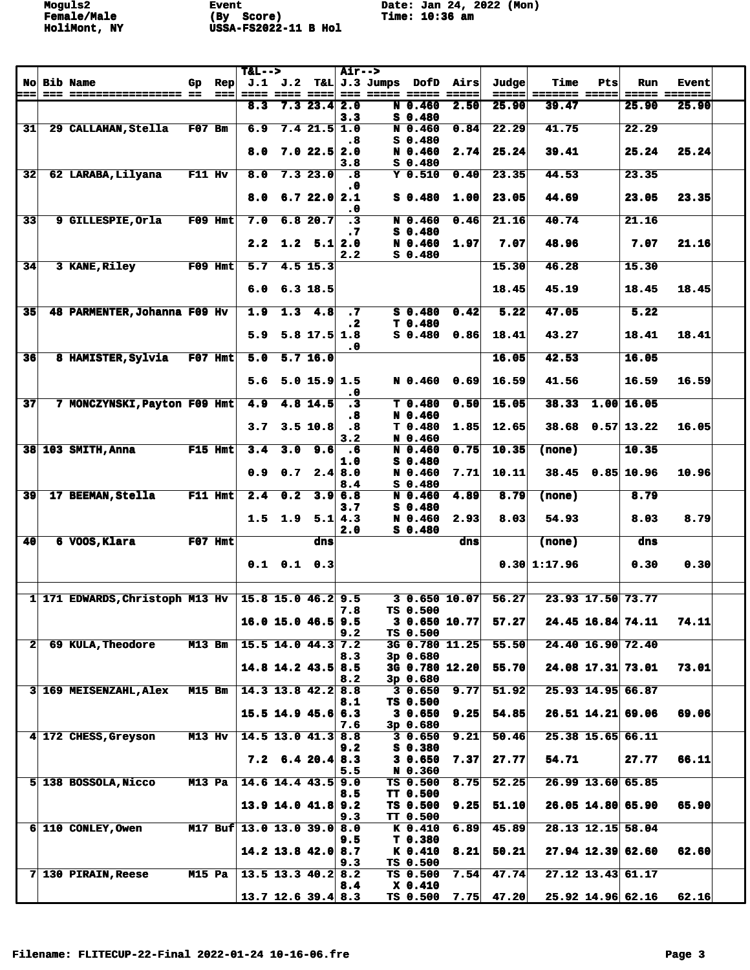|                 |                                 |               |                        | $T&L-->$                   |         |                                      | <b>Air--&gt;</b>                  |                                     |                        |                  |                |                       |     |                     |                               |  |
|-----------------|---------------------------------|---------------|------------------------|----------------------------|---------|--------------------------------------|-----------------------------------|-------------------------------------|------------------------|------------------|----------------|-----------------------|-----|---------------------|-------------------------------|--|
| ===             | <b>No Bib Name</b>              | Gp            | $\mathbf{Rep}$<br>$==$ |                            | J.1 J.2 | ==== ==== ====                       |                                   | $T\&L$ J.3 Jumps<br>=== ===== ===== | <b>DofD</b>            | Airs<br>$= 2222$ | Judge<br>===== | Time<br>======= ===== | Pts | Run                 | <b>Event</b><br>===== ======= |  |
|                 |                                 |               |                        | 8.3                        |         | $7.3$ 23.4 2.0                       |                                   |                                     | N 0.460                | 2.50             | 25.90          | 39.47                 |     | 25.90               | 25.90                         |  |
| 31              | 29 CALLAHAN, Stella             | $F07$ Bm      |                        | 6.9                        |         | $7.4$ 21.5 1.0                       | 3.3                               |                                     | $S$ 0.480<br>N 0.460   | 0.84             | 22.29          | 41.75                 |     | 22.29               |                               |  |
|                 |                                 |               |                        |                            |         |                                      | - 8                               |                                     | $S$ 0.480              |                  |                |                       |     |                     |                               |  |
|                 |                                 |               |                        | 8.0                        |         | $7.0$ 22.5 2.0                       |                                   |                                     | N 0.460                | 2.74             | 25.24          | 39.41                 |     | 25.24               | 25.24                         |  |
| 32              | 62 LARABA, Lilyana              | F11 Hv        |                        | 8.0                        |         | 7.323.0                              | 3.8<br>$\ddot{\bm{8}}$            |                                     | $S$ 0.480<br>$Y$ 0.510 | 0.40             | 23.35          | 44.53                 |     | 23.35               |                               |  |
|                 |                                 |               |                        |                            |         |                                      | . 0                               |                                     |                        |                  |                |                       |     |                     |                               |  |
|                 |                                 |               |                        | 8.0                        |         | 6.722.02.1                           |                                   |                                     | $S_0.480$              | 1.00             | 23.05          | 44.69                 |     | 23.05               | 23.35                         |  |
| $\overline{33}$ | 9 GILLESPIE, Orla               |               | $F09$ Hmt              | 7.0                        |         | 6.820.7                              | $\cdot$ 0<br>$\overline{\cdot 3}$ |                                     | N 0.460                | 0.46             | 21.16          | 40.74                 |     | 21.16               |                               |  |
|                 |                                 |               |                        |                            |         |                                      | . 7                               |                                     | $S$ 0.480              |                  |                |                       |     |                     |                               |  |
|                 |                                 |               |                        | 2.2                        | 1.2     | 5.1 2.0                              |                                   |                                     | N 0.460                | 1.97             | 7.07           | 48.96                 |     | 7.07                | 21.16                         |  |
| 34              | 3 KANE, Riley                   |               | $F09$ Hmt              | $\overline{5.7}$           |         | $4.5$ 15.3                           | 2.2                               |                                     | $S_0.480$              |                  | 15.30          | 46.28                 |     | 15.30               |                               |  |
|                 |                                 |               |                        |                            |         |                                      |                                   |                                     |                        |                  |                |                       |     |                     |                               |  |
|                 |                                 |               |                        | 6.0                        |         | $6.3$ 18.5                           |                                   |                                     |                        |                  | 18.45          | 45.19                 |     | 18.45               | 18.45                         |  |
| 35 <sub>l</sub> | 48 PARMENTER, Johanna F09 Hv    |               |                        | 1.9                        |         | $1.3$ 4.8                            | $\cdot$ 7                         |                                     | $S$ 0.480              | 0.42             | 5.22           | 47.05                 |     | 5.22                |                               |  |
|                 |                                 |               |                        |                            |         |                                      | . 2                               |                                     | T 0.480                |                  |                |                       |     |                     |                               |  |
|                 |                                 |               |                        | 5.9                        |         | $5.8$ 17.5 1.8                       | .0                                |                                     | $S$ 0.480              | 0.86             | 18.41          | 43.27                 |     | 18.41               | 18.41                         |  |
| 36              | 8 HAMISTER, Sylvia              |               | $F07$ Hmt              | 5.0                        |         | 5.716.0                              |                                   |                                     |                        |                  | 16.05          | 42.53                 |     | 16.05               |                               |  |
|                 |                                 |               |                        |                            |         |                                      |                                   |                                     |                        |                  |                |                       |     |                     |                               |  |
|                 |                                 |               |                        | 5.6                        |         | $5.0$ 15.9 1.5                       | $\cdot$ 0                         |                                     | N 0.460                | 0.69             | 16.59          | 41.56                 |     | 16.59               | 16.59                         |  |
| 37              | 7 MONCZYNSKI, Payton F09 Hmt    |               |                        | 4.9                        |         | $4.8$ 14.5                           | $\overline{.}$                    |                                     | T 0.480                | 0.50             | 15.05          | 38.33                 |     | $1.00$ 16.05        |                               |  |
|                 |                                 |               |                        | 3.7                        |         | 3.5 10.8                             | .8<br>.8                          |                                     | N 0.460<br>T 0.480     | 1.85             | 12.65          |                       |     | $38.68$ 0.57 13.22  | 16.05                         |  |
|                 |                                 |               |                        |                            |         |                                      | 3.2                               |                                     | N 0.460                |                  |                |                       |     |                     |                               |  |
|                 | 38 103 SMITH, Anna              |               | $F15$ Hmt              | 3.4                        | 3.0     | 9.6                                  | $\cdot 6$                         |                                     | N 0.460                | 0.75             | 10.35          | <b>(none)</b>         |     | 10.35               |                               |  |
|                 |                                 |               |                        | 0.9                        | 0.7     |                                      | 1.0<br>2.4 8.0                    |                                     | $S$ 0.480<br>N 0.460   | 7.71             | 10.11          | 38.45                 |     | 0.85 10.96          | 10.96                         |  |
|                 |                                 |               |                        |                            |         |                                      | 8.4                               |                                     | $S$ 0.480              |                  |                |                       |     |                     |                               |  |
| 39              | 17 BEEMAN, Stella               |               | $F11$ Hmt              | 2.4                        | 0.2     |                                      | 3.96.8                            |                                     | N 0.460                | 4.89             | 8.79           | (none)                |     | 8.79                |                               |  |
|                 |                                 |               |                        | 1.5                        | 1.9     |                                      | 3.7<br>$5.1 \, 4.3$               |                                     | $S$ 0.480<br>N 0.460   | 2.93             | 8.03           | 54.93                 |     | 8.03                | 8.79                          |  |
|                 |                                 |               |                        |                            |         |                                      | 2.0                               |                                     | $S_0.480$              |                  |                |                       |     |                     |                               |  |
| 40              | 6 VOOS, Klara                   |               | F07 Hmt                |                            |         | dns                                  |                                   |                                     |                        | dns              |                | (none)                |     | dns                 |                               |  |
|                 |                                 |               |                        |                            |         | $0.1$ $0.1$ $0.3$                    |                                   |                                     |                        |                  |                | 0.30 1:17.96          |     | 0.30                | 0.30                          |  |
|                 |                                 |               |                        |                            |         |                                      |                                   |                                     |                        |                  |                |                       |     |                     |                               |  |
|                 | 1 171 EDWARDS, Christoph M13 Hv |               |                        |                            |         | $15.8$ 15.0 46.2 9.5                 |                                   |                                     |                        | 30.65010.07      | 56.27          |                       |     | 23.93 17.50 73.77   |                               |  |
|                 |                                 |               |                        |                            |         |                                      | 7.8                               |                                     | TS 0.500               |                  |                |                       |     |                     |                               |  |
|                 |                                 |               |                        |                            |         | $16.0$ 15.0 46.5 9.5                 | 9.2                               |                                     | TS 0.500               | 30.65010.77      | 57.27          |                       |     | 24.45 16.84 74.11   | 74.11                         |  |
| 2 <sup>1</sup>  | 69 KULA, Theodore               | <b>M13 Bm</b> |                        | $15.5$ 14.0 44.3 7.2       |         |                                      |                                   |                                     |                        | 3G 0.780 11.25   | 55.50          |                       |     | 24.40 16.90 72.40   |                               |  |
|                 |                                 |               |                        |                            |         |                                      | 8.3                               |                                     | 3p0.680                |                  |                |                       |     |                     |                               |  |
|                 |                                 |               |                        |                            |         | $14.8$ 14.2 43.5 8.5                 | 8.2                               |                                     | 3p 0.680               | 3G 0.780 12.20   | 55.70          |                       |     | 24.08 17.31 73.01   | 73.01                         |  |
|                 | 3 169 MEISENZAHL, Alex          | <b>M15 Bm</b> |                        |                            |         | $14.3$ 13.8 42.2 8.8                 |                                   |                                     | 30.650                 | 9.77             | 51.92          |                       |     | 25.93 14.95 66.87   |                               |  |
|                 |                                 |               |                        |                            |         | $15.5$ 14.9 45.6 6.3                 | 8.1                               |                                     | TS 0.500<br>30.650     | 9.25             | 54.85          |                       |     | $26.51$ 14.21 69.06 | 69.06                         |  |
|                 |                                 |               |                        |                            |         |                                      | 7.6                               |                                     | 3p 0.680               |                  |                |                       |     |                     |                               |  |
|                 | 4 172 CHESS, Greyson            | M13 Hv        |                        |                            |         | $14.5$ 13.0 $41.3$ 8.8               |                                   |                                     | 30.650                 | 9.21             | 50.46          |                       |     | 25.38 15.65 66.11   |                               |  |
|                 |                                 |               |                        |                            |         | $7.2 \quad 6.4 \quad 20.4 \quad 8.3$ | 9.2                               |                                     | $S_0$ 0.380<br>30.650  | 7.37             | 27.77          | 54.71                 |     | 27.77               | 66.11                         |  |
|                 |                                 |               |                        |                            |         |                                      | 5.5                               |                                     | N 0.360                |                  |                |                       |     |                     |                               |  |
|                 | 5 138 BOSSOLA, Nicco            | M13 Pa        |                        |                            |         | $14.6$ 14.4 43.5 9.0                 |                                   |                                     | TS 0.500               | 8.75             | 52.25          |                       |     | 26.99 13.60 65.85   |                               |  |
|                 |                                 |               |                        |                            |         | $13.9$ 14.0 41.8 9.2                 | 8.5                               |                                     | TT 0.500<br>TS 0.500   | 9.25             | 51.10          |                       |     | $26.05$ 14.80 65.90 | 65.90                         |  |
|                 |                                 |               |                        |                            |         |                                      | 9.3                               |                                     | TT 0.500               |                  |                |                       |     |                     |                               |  |
|                 | 6 110 CONLEY, Owen              |               |                        | M17 Buf 13.0 13.0 39.0 8.0 |         |                                      | 9.5                               |                                     | K 0.410<br>T 0.380     | 6.89             | 45.89          |                       |     | 28.13 12.15 58.04   |                               |  |
|                 |                                 |               |                        |                            |         | 14.2 13.8 42.0 8.7                   |                                   |                                     | K 0.410                | 8.21             | 50.21          |                       |     | $27.94$ 12.39 62.60 | 62.60                         |  |
|                 |                                 |               |                        |                            |         |                                      | 9.3                               |                                     | TS 0.500               |                  |                |                       |     |                     |                               |  |
|                 | $7 130$ PIRAIN, Reese           | <b>M15 Pa</b> |                        |                            |         | $13.5$ 13.3 40.2 8.2                 | 8.4                               |                                     | TS 0.500<br>$X_0.410$  | 7.54             | 47.74          |                       |     | $27.12$ 13.43 61.17 |                               |  |
|                 |                                 |               |                        |                            |         | $13.7$ 12.6 39.4 8.3                 |                                   |                                     | TS 0.500               | 7.75             | 47.20          |                       |     | 25.92 14.96 62.16   | 62.16                         |  |
|                 |                                 |               |                        |                            |         |                                      |                                   |                                     |                        |                  |                |                       |     |                     |                               |  |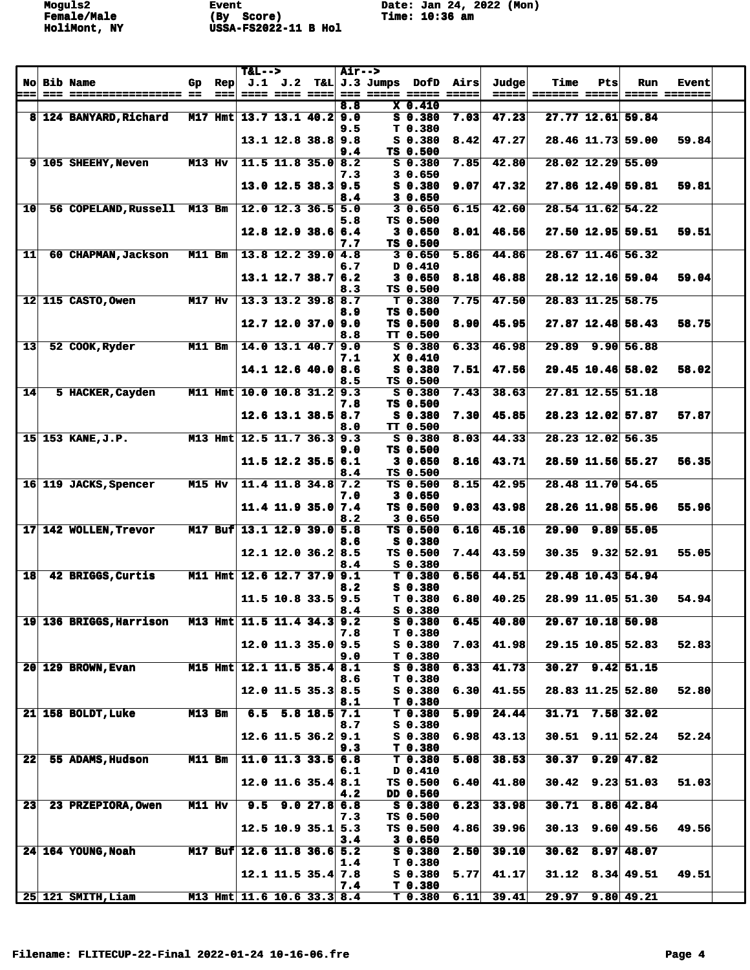|                 |                                                |               |      | $T&L-->$                     |         |                          | <b>Air--&gt;</b> |               |                        |      |                |               |                   |                        |               |  |
|-----------------|------------------------------------------------|---------------|------|------------------------------|---------|--------------------------|------------------|---------------|------------------------|------|----------------|---------------|-------------------|------------------------|---------------|--|
|                 | <b>No Bib Name</b><br>--- ----------------- -- | Gp.           | Rep  |                              | J.1 J.2 |                          |                  | T&L J.3 Jumps | DofD                   | Airs | Judge<br>===== | Time          | Pts               | Run                    | <b>Event</b>  |  |
| ===             |                                                |               | $==$ |                              |         | ==== ==== ====           | 8.8              |               | $X_0.410$              |      |                | ======= ===== |                   |                        | ===== ======= |  |
|                 | 8 124 BANYARD, Richard                         |               |      | M17 Hmt $13.7$ 13.1 40.2 9.0 |         |                          |                  |               | $S$ 0.380              | 7.03 | 47.23          |               |                   | 27.77 12.61 59.84      |               |  |
|                 |                                                |               |      |                              |         |                          | 9.5              |               | T 0.380                |      |                |               |                   |                        |               |  |
|                 |                                                |               |      |                              |         | $13.1$ 12.8 38.8 9.8     |                  |               | $S_0.380$              | 8.42 | 47.27          |               |                   | 28.46 11.73 59.00      | 59.84         |  |
|                 |                                                |               |      |                              |         |                          | 9.4              |               | TS 0.500               |      |                |               |                   |                        |               |  |
|                 | 9 105 SHEEHY, Neven                            | $M13$ Hv      |      |                              |         | $11.5$ 11.8 35.0 8.2     |                  |               | $S_0$ .380             | 7.85 | 42.80          |               | 28.02 12.29 55.09 |                        |               |  |
|                 |                                                |               |      |                              |         |                          | 7.3              |               | 30.650                 |      |                |               |                   |                        |               |  |
|                 |                                                |               |      |                              |         | $13.0$ 12.5 38.3 9.5     | 8.4              |               | S 0.380<br>30.650      | 9.07 | 47.32          |               |                   | $27.86$ 12.49 59.81    | 59.81         |  |
| 10              | 56 COPELAND, Russell M13 Bm                    |               |      |                              |         | $12.0$ 12.3 36.5 5.0     |                  |               | 30.650                 | 6.15 | 42.60          |               |                   | 28.54 11.62 54.22      |               |  |
|                 |                                                |               |      |                              |         |                          | 5.8              |               | TS 0.500               |      |                |               |                   |                        |               |  |
|                 |                                                |               |      |                              |         | $12.8$ 12.9 38.6 6.4     |                  |               | 3 0.650                | 8.01 | 46.56          |               |                   | 27.50 12.95 59.51      | 59.51         |  |
|                 |                                                |               |      |                              |         |                          | 7.7              |               | TS 0.500               |      |                |               |                   |                        |               |  |
| $11$            | 60 CHAPMAN, Jackson                            | M11 Bm        |      |                              |         | $13.8$ 12.2 39.0 4.8     |                  |               | 30.650                 | 5.86 | 44.86          |               |                   | 28.67 11.46 56.32      |               |  |
|                 |                                                |               |      |                              |         |                          | 6.7              |               | D 0.410                |      |                |               |                   |                        |               |  |
|                 |                                                |               |      |                              |         | $13.1$ $12.7$ $38.7$ 6.2 |                  |               | 30.650<br>TS 0.500     | 8.18 | 46.88          |               |                   | 28.12 12.16 59.04      | 59.04         |  |
|                 | 12 115 CASTO, Owen                             | <b>M17 Hv</b> |      |                              |         | $13.3$ 13.2 39.8 8.7     | 8.3              |               | T 0.380                | 7.75 | 47.50          |               |                   | 28.83 11.25 58.75      |               |  |
|                 |                                                |               |      |                              |         |                          | 8.9              |               | TS 0.500               |      |                |               |                   |                        |               |  |
|                 |                                                |               |      |                              |         | $12.7$ 12.0 37.0 9.0     |                  |               | TS 0.500               | 8.90 | 45.95          |               |                   | 27.87 12.48 58.43      | 58.75         |  |
|                 |                                                |               |      |                              |         |                          | 8.8              |               | <b>TT 0.500</b>        |      |                |               |                   |                        |               |  |
| 13              | 52 COOK, Ryder                                 | M11 Bm        |      |                              |         | $14.0$ 13.1 $40.7$ 9.0   |                  |               | S 0.380                | 6.33 | 46.98          |               |                   | 29.89 9.90 56.88       |               |  |
|                 |                                                |               |      |                              |         |                          | 7.1              |               | $X_0.410$<br>$S$ 0.380 |      |                |               |                   |                        | 58.02         |  |
|                 |                                                |               |      |                              |         | $14.1$ 12.6 40.0 8.6     | 8.5              |               | TS 0.500               | 7.51 | 47.56          |               |                   | 29.45 10.46 58.02      |               |  |
| 14              | 5 HACKER, Cayden                               |               |      | M11 Hmt 10.0 10.8 31.2 9.3   |         |                          |                  |               | S 0.380                | 7.43 | 38.63          |               | 27.81 12.55 51.18 |                        |               |  |
|                 |                                                |               |      |                              |         |                          | 7.8              |               | TS 0.500               |      |                |               |                   |                        |               |  |
|                 |                                                |               |      |                              |         | $12.6$ 13.1 38.5 8.7     |                  |               | S 0.380                | 7.30 | 45.85          |               |                   | 28.23 12.02 57.87      | 57.87         |  |
|                 |                                                |               |      |                              |         |                          | 8.0              |               | <b>TT 0.500</b>        |      |                |               |                   |                        |               |  |
|                 | 15 153 KANE, J.P.                              |               |      | M13 Hmt 12.5 11.7 36.3 9.3   |         |                          |                  |               | S 0.380                | 8.03 | 44.33          |               |                   | 28.23 12.02 56.35      |               |  |
|                 |                                                |               |      |                              |         |                          | 9.0              |               | TS 0.500               |      |                |               |                   |                        |               |  |
|                 |                                                |               |      |                              |         | $11.5$ 12.2 35.5 6.1     | 8.4              |               | 30.650<br>TS 0.500     | 8.16 | 43.71          |               |                   | 28.59 11.56 55.27      | 56.35         |  |
|                 | 16 119 JACKS, Spencer                          | M15 Hv        |      |                              |         | $11.4$ 11.8 34.8 7.2     |                  |               | TS 0.500               | 8.15 | 42.95          |               |                   | 28.48 11.70 54.65      |               |  |
|                 |                                                |               |      |                              |         |                          | 7.0              |               | 30.650                 |      |                |               |                   |                        |               |  |
|                 |                                                |               |      |                              |         | 11.4 11.9 35.0 $7.4$     |                  |               | TS 0.500               | 9.03 | 43.98          |               |                   | 28.26 11.98 55.96      | 55.96         |  |
|                 |                                                |               |      |                              |         |                          | 8.2              |               | 3 0.650                |      |                |               |                   |                        |               |  |
|                 | 17 142 WOLLEN, Trevor                          |               |      | M17 Buf 13.1 12.9 39.0 5.8   |         |                          |                  |               | TS 0.500               | 6.16 | 45.16          |               |                   | 29.90 9.89 55.05       |               |  |
|                 |                                                |               |      |                              |         | $12.1$ 12.0 36.2 8.5     | 8.6              |               | $S$ 0.380<br>TS 0.500  | 7.44 | 43.59          |               |                   | $30.35$ $9.32$ $52.91$ | 55.05         |  |
|                 |                                                |               |      |                              |         |                          | 8.4              |               | $S$ 0.380              |      |                |               |                   |                        |               |  |
| 18              | 42 BRIGGS, Curtis                              |               |      | M11 Hmt 12.6 12.7 37.9 9.1   |         |                          |                  |               | T 0.380                | 6.56 | 44.51          |               |                   | 29.48 10.43 54.94      |               |  |
|                 |                                                |               |      |                              |         |                          | 8.2              |               | S 0.380                |      |                |               |                   |                        |               |  |
|                 |                                                |               |      |                              |         | $11.5$ 10.8 33.5 9.5     |                  |               | T 0.380                | 6.80 | 40.25          |               |                   | 28.99 11.05 51.30      | 54.94         |  |
|                 |                                                |               |      |                              |         |                          | 8.4              |               | S 0.380<br>$S$ 0.380   | 6.45 | 40.80          |               |                   | 29.67 10.18 50.98      |               |  |
|                 | 19 136 BRIGGS, Harrison                        |               |      | M13 Hmt 11.5 11.4 34.3 9.2   |         |                          | 7.8              |               | T 0.380                |      |                |               |                   |                        |               |  |
|                 |                                                |               |      |                              |         | $12.0$ 11.3 35.0 9.5     |                  |               | $S$ 0.380              | 7.03 | 41.98          |               |                   | 29.15 10.85 52.83      | 52.83         |  |
|                 |                                                |               |      |                              |         |                          | 9.0              |               | T 0.380                |      |                |               |                   |                        |               |  |
|                 | <b>20 129 BROWN, Evan</b>                      |               |      | M15 Hmt 12.1 11.5 35.4 8.1   |         |                          |                  |               | $S_0.380$              | 6.33 | 41.73          |               |                   | $30.27$ 9.42 51.15     |               |  |
|                 |                                                |               |      |                              |         |                          | 8.6              |               | T 0.380                |      |                |               |                   |                        |               |  |
|                 |                                                |               |      |                              |         | $12.0$ 11.5 35.3 8.5     |                  |               | S 0.380<br>T 0.380     | 6.30 | 41.55          |               |                   | 28.83 11.25 52.80      | 52.80         |  |
|                 | 21 158 BOLDT, Luke                             | <b>M13 Bm</b> |      |                              |         | $6.5$ 5.8 18.5 7.1       | 8.1              |               | T 0.380                | 5.99 | 24.44          |               |                   | $31.71$ 7.58 32.02     |               |  |
|                 |                                                |               |      |                              |         |                          | 8.7              |               | $S$ 0.380              |      |                |               |                   |                        |               |  |
|                 |                                                |               |      |                              |         | $12.6$ 11.5 36.2 9.1     |                  |               | $S$ 0.380              | 6.98 | 43.13          |               |                   | $30.51$ 9.11 $52.24$   | 52.24         |  |
|                 |                                                |               |      |                              |         |                          | 9.3              |               | T 0.380                |      |                |               |                   |                        |               |  |
| 22              | 55 ADAMS, Hudson                               | M11 Bm        |      |                              |         | $11.0$ 11.3 33.5 6.8     |                  |               | $T$ 0.380              | 5.08 | 38.53          |               |                   | $30.37$ $9.29$ $47.82$ |               |  |
|                 |                                                |               |      |                              |         | $12.0$ 11.6 35.4 8.1     | 6.1              |               | D 0.410<br>TS 0.500    | 6.40 | 41.80          |               |                   | $30.42$ 9.23 51.03     | 51.03         |  |
|                 |                                                |               |      |                              |         |                          | 4.2              |               | DD 0.560               |      |                |               |                   |                        |               |  |
| 23 <sub>1</sub> | 23 PRZEPIORA, Owen                             | M11 Hv        |      |                              |         | $9.5$ $9.0$ $27.8$ 6.8   |                  |               | S 0.380                | 6.23 | 33.98          |               |                   | $30.71$ 8.86 42.84     |               |  |
|                 |                                                |               |      |                              |         |                          | 7.3              |               | TS 0.500               |      |                |               |                   |                        |               |  |
|                 |                                                |               |      |                              |         | $12.5$ 10.9 35.1 5.3     |                  |               | TS 0.500               | 4.86 | 39.96          |               |                   | $30.13$ 9.60 49.56     | 49.56         |  |
|                 |                                                |               |      |                              |         |                          | 3.4              |               | 30.650                 |      |                |               |                   |                        |               |  |
|                 | 24 164 YOUNG, Noah                             |               |      | M17 Buf 12.6 11.8 36.6 5.2   |         |                          | 1.4              |               | $S_0.380$<br>T 0.380   | 2.50 | 39.10          |               |                   | $30.62$ 8.97 48.07     |               |  |
|                 |                                                |               |      |                              |         | $12.1$ 11.5 35.4 7.8     |                  |               | $S_0.380$              | 5.77 | 41.17          |               |                   | $31.12$ $8.34$ 49.51   | 49.51         |  |
|                 |                                                |               |      |                              |         |                          | 7.4              |               | T 0.380                |      |                |               |                   |                        |               |  |
|                 | 25 121 SMITH, Liam                             |               |      | M13 Hmt 11.6 10.6 33.3 8.4   |         |                          |                  |               | T <sub>0.380</sub>     | 6.11 | 39.41          |               |                   | $29.97$ $9.80$ $49.21$ |               |  |
|                 |                                                |               |      |                              |         |                          |                  |               |                        |      |                |               |                   |                        |               |  |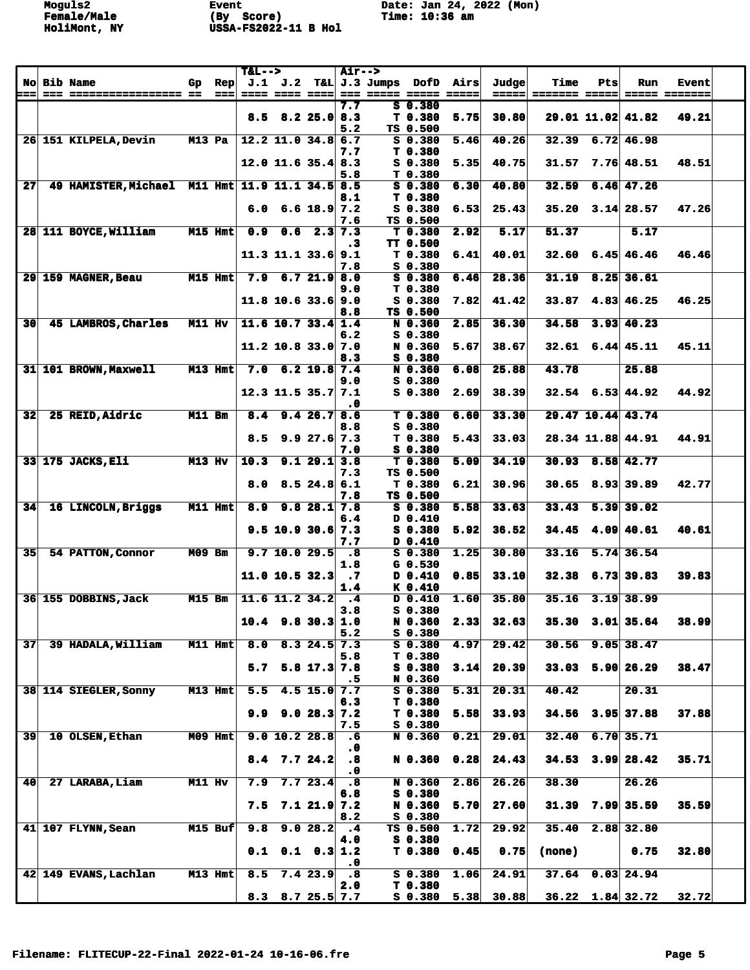|                 |                                                 |               |           | $T&L-->$ |                          |                           | <b>Air--&gt;</b>            |                    |                      |                                                    |                      |                    |                      |                         |               |  |
|-----------------|-------------------------------------------------|---------------|-----------|----------|--------------------------|---------------------------|-----------------------------|--------------------|----------------------|----------------------------------------------------|----------------------|--------------------|----------------------|-------------------------|---------------|--|
| <b>No</b>       | <b>Bib Name</b>                                 | Gp.           | Rep       |          | J.1 J.2                  |                           |                             | T&L J.3 Jumps DofD |                      | Airs                                               | Judge                | Time               | Pts                  | Run                     | <b>Event</b>  |  |
| ===             | === ================== ==                       |               | $==$      |          | ==== ==== ====           |                           |                             | === ===== =====    |                      | $\qquad \qquad \equiv \equiv \equiv \equiv \equiv$ | =====                | ======= =====      |                      |                         | ===== ======= |  |
|                 |                                                 |               |           |          |                          |                           | 7.7                         |                    | $S$ 0.380            |                                                    |                      |                    |                      |                         |               |  |
|                 |                                                 |               |           | 8.5      |                          | $8.2$ 25.0 8.3            |                             |                    | T <sub>0.380</sub>   | 5.75                                               | 30.80                |                    |                      | 29.01 11.02 41.82       | 49.21         |  |
|                 |                                                 |               |           |          |                          |                           | 5.2                         |                    | TS 0.500             |                                                    |                      |                    |                      |                         |               |  |
|                 | 26 151 KILPELA, Devin                           | $M13$ Pa      |           |          | $12.2$ 11.0 34.8 6.7     |                           | 7.7                         |                    | $S$ 0.380<br>T 0.380 | 5.46                                               | 40.26                | 32.39              |                      | $6.72$ 46.98            |               |  |
|                 |                                                 |               |           |          | $12.0$ 11.6 35.4 8.3     |                           |                             |                    | $S$ 0.380            | 5.35                                               | 40.75                | 31.57              |                      | $7.76$ 48.51            | 48.51         |  |
|                 |                                                 |               |           |          |                          |                           | 5.8                         |                    | T 0.380              |                                                    |                      |                    |                      |                         |               |  |
| 27              | 49 HAMISTER, Michael M11 Hmt 11.9 11.1 34.5 8.5 |               |           |          |                          |                           |                             |                    | $S$ 0.380            | 6.30                                               | 40.80                | 32.59              |                      | $6.46$ 47.26            |               |  |
|                 |                                                 |               |           |          |                          |                           | 8.1                         |                    | T <sub>0.380</sub>   |                                                    |                      |                    |                      |                         |               |  |
|                 |                                                 |               |           | 6.0      |                          | $6.6$ 18.9 7.2            |                             |                    | $S$ 0.380            | 6.53                                               | 25.43                | 35.20              |                      | $3.14$ 28.57            | 47.26         |  |
|                 |                                                 |               |           |          |                          |                           | 7.6                         |                    | TS 0.500             |                                                    |                      |                    |                      |                         |               |  |
|                 | 28 111 BOYCE, William                           | $M15$ Hmt     |           | 0.9      | 0.6                      |                           | $2.3$ 7.3                   |                    | T 0.380              | 2.92                                               | 5.17                 | 51.37              |                      | 5.17                    |               |  |
|                 |                                                 |               |           |          |                          |                           | $\cdot$ 3                   |                    | TT 0.500             |                                                    |                      |                    |                      |                         |               |  |
|                 |                                                 |               |           |          | $11.3$ 11.1 33.6 9.1     |                           |                             |                    | T <sub>0.380</sub>   | 6.41                                               | 40.01                | 32.60              |                      | $6.45 \, 46.46$         | 46.46         |  |
|                 |                                                 |               |           |          |                          |                           | 7.8                         |                    | S 0.380              |                                                    |                      |                    |                      |                         |               |  |
|                 | 29 159 MAGNER, Beau                             |               | $M15$ Hmt | 7.9      |                          | 6.721.98.0                | 9.0                         |                    | S 0.380<br>T 0.380   | 6.46                                               | 28.36                | 31.19              |                      | $8.25 \mid 36.61$       |               |  |
|                 |                                                 |               |           |          | $11.8$ 10.6 33.6 9.0     |                           |                             |                    | $S$ 0.380            | 7.82                                               | 41.42                | 33.87              |                      | $4.83$ 46.25            | 46.25         |  |
|                 |                                                 |               |           |          |                          |                           | 8.8                         |                    | TS 0.500             |                                                    |                      |                    |                      |                         |               |  |
| 30              | 45 LAMBROS, Charles                             | M11 Hv        |           |          | $11.6$ 10.7 33.4 1.4     |                           |                             |                    | N 0.360              | 2.85                                               | 36.30                | 34.58              |                      | $3.93$ 40.23            |               |  |
|                 |                                                 |               |           |          |                          |                           | 6.2                         |                    | S 0.380              |                                                    |                      |                    |                      |                         |               |  |
|                 |                                                 |               |           |          | $11.2$ 10.8 33.0 7.0     |                           |                             |                    | N 0.360              | 5.67                                               | 38.67                | 32.61              |                      | 6.44 45.11              | 45.11         |  |
|                 |                                                 |               |           |          |                          |                           | 8.3                         |                    | S 0.380              |                                                    |                      |                    |                      |                         |               |  |
|                 | 31 101 BROWN, Maxwell                           |               | $M13$ Hmt |          | $7.0 \t6.2 \t19.8 \t7.4$ |                           |                             |                    | N 0.360              | 6.08                                               | 25.88                | 43.78              |                      | 25.88                   |               |  |
|                 |                                                 |               |           |          |                          |                           | 9.0                         |                    | $S_0$ 0.380          |                                                    |                      |                    |                      |                         |               |  |
|                 |                                                 |               |           |          | $12.3$ 11.5 35.7 7.1     |                           | .0                          |                    | $S$ 0.380            | 2.69                                               | 38.39                |                    | $32.54$ 6.53 44.92   |                         | 44.92         |  |
| 32 <sub>1</sub> | 25 REID, Aidric                                 | M11 Bm        |           | 8.4      |                          | 9.426.78.6                |                             |                    | T <sub>0.380</sub>   | 6.60                                               | 33.30                |                    |                      | 29.47 10.44 43.74       |               |  |
|                 |                                                 |               |           |          |                          |                           | 8.8                         |                    | S 0.380              |                                                    |                      |                    |                      |                         |               |  |
|                 |                                                 |               |           | 8.5      |                          | 9.927.67.3                |                             |                    | T 0.380              | 5.43                                               | 33.03                |                    | 28.34 11.88 44.91    |                         | 44.91         |  |
|                 |                                                 |               |           |          |                          |                           | 7.0                         |                    | S 0.380              |                                                    |                      |                    |                      |                         |               |  |
|                 | 33 175 JACKS, Eli                               | $M13$ Hv      |           | 10.3     |                          | 9.129.13.8                |                             |                    | T 0.380              | 5.09                                               | 34.19                | 30.93              |                      | $8.58$ 42.77            |               |  |
|                 |                                                 |               |           |          |                          |                           | 7.3                         |                    | TS 0.500             |                                                    |                      |                    |                      |                         |               |  |
|                 |                                                 |               |           | 8.0      |                          | 8.524.86.1                |                             |                    | T 0.380              | 6.21                                               | 30.96                |                    | $30.65$ 8.93 39.89   |                         | 42.77         |  |
| 34              | 16 LINCOLN, Briggs                              |               | M11 Hmt   | 8.9      |                          | $9.8$ 28.1 7.8            | 7.8                         |                    | TS 0.500             | 5.58                                               | 33.63                | 33.43              |                      | $5.39$ 39.02            |               |  |
|                 |                                                 |               |           |          |                          |                           | 6.4                         |                    | $S_0.380$<br>D 0.410 |                                                    |                      |                    |                      |                         |               |  |
|                 |                                                 |               |           |          | $9.5$ 10.9 30.6 7.3      |                           |                             |                    | $S$ 0.380            | 5.92                                               | 36.52                | 34.45              |                      | 4.09 40.61              | 40.61         |  |
|                 |                                                 |               |           |          |                          |                           | 7.7                         |                    | D 0.410              |                                                    |                      |                    |                      |                         |               |  |
| 35 <sub>1</sub> | 54 PATTON, Connor                               | <b>M09 Bm</b> |           |          | 9.7 10.0 29.5            |                           | $\overline{\phantom{a}}$ .8 |                    | $S_0$ .380           | 1.25                                               | 30.80                | 33.16              |                      | $5.74 \overline{36.54}$ |               |  |
|                 |                                                 |               |           |          |                          |                           | 1.8                         |                    | $G_0.530$            |                                                    |                      |                    |                      |                         |               |  |
|                 |                                                 |               |           |          | $11.0$ 10.5 32.3         |                           | $\ddot{\phantom{0}}$        |                    | D 0.410              | 0.85                                               | 33.10                | 32.38              |                      | $6.73$ 39.83            | 39.83         |  |
|                 |                                                 |               |           |          |                          |                           | 1.4                         |                    | K 0.410              |                                                    |                      |                    |                      |                         |               |  |
|                 | 36 155 DOBBINS, Jack                            | <b>M15 Bm</b> |           |          | $11.6$ 11.2 34.2         |                           | - 4<br>3.8                  |                    | D 0.410<br>S 0.380   | 1.60                                               | 35.80                | 35.16              |                      | $3.19$ 38.99            |               |  |
|                 |                                                 |               |           |          | $10.4$ 9.8 30.3 1.0      |                           |                             |                    | N 0.360              | 2.33                                               | 32.63                | 35.30              |                      | $3.01$ 35.64            | 38.99         |  |
|                 |                                                 |               |           |          |                          |                           | 5.2                         |                    | S 0.380              |                                                    |                      |                    |                      |                         |               |  |
| 37 <sub>l</sub> | 39 HADALA, William                              |               | M11 Hmt   | 8.0      |                          | $8.3$ 24.5 7.3            |                             |                    | $S$ 0.380            | 4.97                                               | 29.42                | 30.56              |                      | $9.05$ 38.47            |               |  |
|                 |                                                 |               |           |          |                          |                           | 5.8                         |                    | T 0.380              |                                                    |                      |                    |                      |                         |               |  |
|                 |                                                 |               |           | 5.7      |                          | $5.8$ 17.3 7.8            |                             |                    | $S$ 0.380            | 3.14                                               | 20.39                | 33.03              |                      | 5.90 26.29              | 38.47         |  |
|                 |                                                 |               |           |          |                          |                           | .5                          |                    | N 0.360              |                                                    |                      |                    |                      |                         |               |  |
|                 | 38 114 SIEGLER, Sonny                           |               | $M13$ Hmt | 5.5      |                          | $4.5$ 15.0 7.7            |                             |                    | $S$ 0.380            | 5.31                                               | 20.31                | 40.42              |                      | 20.31                   |               |  |
|                 |                                                 |               |           | 9.9      |                          | 9.028.37.2                | 6.3                         |                    | T 0.380<br>T 0.380   | 5.58                                               | 33.93                |                    | $34.56$ $3.95$ 37.88 |                         | 37.88         |  |
|                 |                                                 |               |           |          |                          |                           | 7.5                         |                    | $S$ 0.380            |                                                    |                      |                    |                      |                         |               |  |
| 39              | 10 OLSEN, Ethan                                 |               | $M09$ Hmt |          | 9.0 10.2 28.8            |                           | . 6                         |                    | N 0.360              | 0.21                                               | 29.01                | 32.40              |                      | $6.70$ 35.71            |               |  |
|                 |                                                 |               |           |          |                          |                           | . 0                         |                    |                      |                                                    |                      |                    |                      |                         |               |  |
|                 |                                                 |               |           |          | $8.4$ 7.7 24.2           |                           | .8                          |                    | N 0.360              | 0.28                                               | 24.43                |                    |                      | $34.53$ $3.99$ 28.42    | 35.71         |  |
|                 |                                                 |               |           |          |                          |                           | $\cdot$ 0                   |                    |                      |                                                    |                      |                    |                      |                         |               |  |
| 40 <sub>1</sub> | 27 LARABA, Liam                                 | M11 Hv        |           | 7.9      |                          | 7.723.4                   | .8                          |                    | N 0.360<br>S 0.380   | 2.86                                               | 26.26                | 38.30              |                      | 26.26                   |               |  |
|                 |                                                 |               |           | 7.5      |                          | $7.1$ 21.9 7.2            | 6.8                         |                    | N 0.360              | 5.70                                               | 27.60                |                    |                      | $31.39$ 7.99 35.59      | 35.59         |  |
|                 |                                                 |               |           |          |                          |                           | 8.2                         |                    | $S$ 0.380            |                                                    |                      |                    |                      |                         |               |  |
|                 | 41 107 FLYNN, Sean                              |               | $M15$ Buf | 9.8      |                          | 9.028.2                   | - 4                         |                    | TS 0.500             | 1.72                                               | 29.92                | 35.40              |                      | 2.88 32.80              |               |  |
|                 |                                                 |               |           |          |                          |                           | 4.0                         |                    | $S$ 0.380            |                                                    |                      |                    |                      |                         |               |  |
|                 |                                                 |               |           | 0.1      |                          | $0.1 \quad 0.3 \vert 1.2$ |                             |                    | T 0.380              | 0.45                                               | 0.75                 | (none)             |                      | 0.75                    | 32.80         |  |
|                 |                                                 |               |           |          |                          |                           | $\cdot$ 0                   |                    |                      |                                                    |                      |                    |                      |                         |               |  |
|                 | 42 149 EVANS, Lachlan                           |               | $M13$ Hmt | 8.5      |                          | 7.423.9                   | $\overline{\phantom{a}}$ .8 |                    | $S$ 0.380            | 1.06                                               | 24.91                |                    |                      | $37.64$ 0.03 24.94      |               |  |
|                 |                                                 |               |           |          |                          |                           | 2.0                         |                    | T 0.380              |                                                    | $S$ 0.380 5.38 30.88 |                    |                      |                         | 32.72         |  |
|                 |                                                 |               |           |          | $8.3$ $8.7$ $25.5$ $7.7$ |                           |                             |                    |                      |                                                    |                      | $36.22$ 1.84 32.72 |                      |                         |               |  |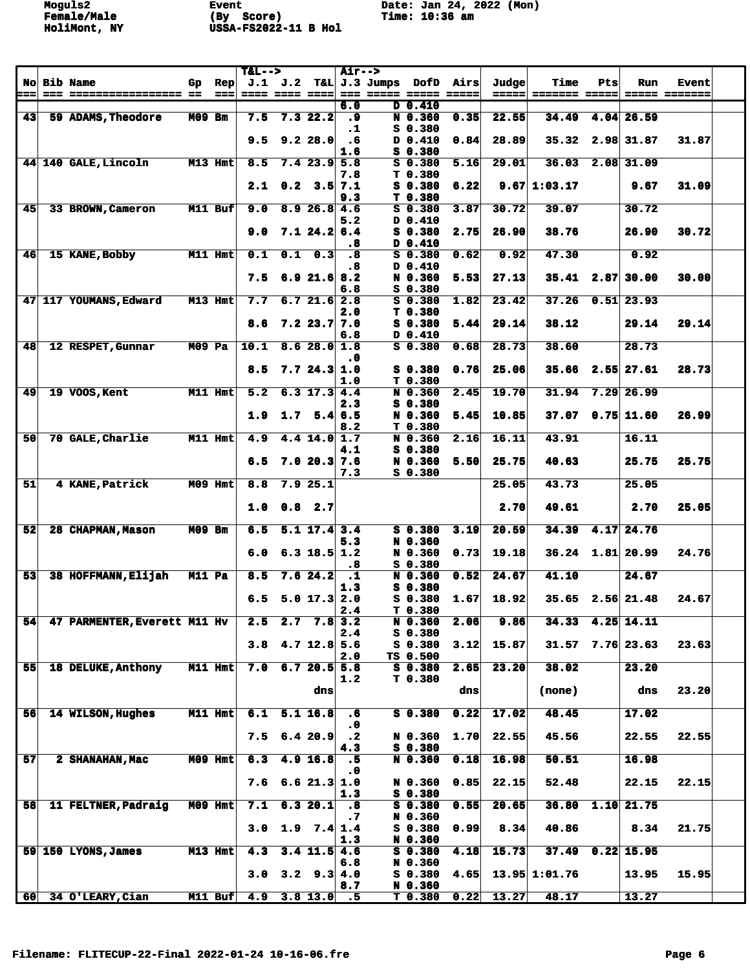|           |                              |          |                | $T&L-->$       |             |                   | Air-->               |                     |                        |               |       |                 |     |                    |               |  |
|-----------|------------------------------|----------|----------------|----------------|-------------|-------------------|----------------------|---------------------|------------------------|---------------|-------|-----------------|-----|--------------------|---------------|--|
| <b>No</b> | <b>Bib Name</b>              | Gp       | $\mathbf{Rep}$ |                | $J.1$ $J.2$ |                   |                      | T&L  J.3 Jumps DOfD |                        | Airs          | Judge | Time            | Pts | Run                | <b>Event</b>  |  |
| :==       |                              |          | $==$           | ==== ==== ==== |             |                   |                      |                     |                        | $= = = = = =$ | ===== | ======= =====   |     |                    | ===== ======= |  |
| 43        | 59 ADAMS, Theodore           | M09 Bm   |                | 7.5            |             | $7.3$ 22.2        | 6.0<br>.9            |                     | D 0.410<br>N 0.360     | 0.35          | 22.55 | 34.49           |     | 4.04 26.59         |               |  |
|           |                              |          |                |                |             |                   | $\cdot$ 1            |                     | $S_0.380$              |               |       |                 |     |                    |               |  |
|           |                              |          |                | 9.5            |             | 9.228.0           | $\cdot$ 6            |                     | D 0.410                | 0.84          | 28.89 | 35.32           |     | 2.98 31.87         | 31.87         |  |
|           |                              |          |                |                |             |                   | 1.6                  |                     | $S$ 0.380              |               |       |                 |     |                    |               |  |
|           | 44 140 GALE, Lincoln         |          | M13 Hmt        | 8.5            |             | $7.4$ 23.9 5.8    |                      |                     | $S$ 0.380              | 5.16          | 29.01 | 36.03           |     | $2.08$ 31.09       |               |  |
|           |                              |          |                |                |             |                   | 7.8                  |                     | T <sub>0.380</sub>     |               |       |                 |     |                    |               |  |
|           |                              |          |                |                |             | $2.1$ 0.2 3.5 7.1 |                      |                     | $S$ 0.380              | 6.22          |       | $9.67$ 1:03.17  |     | 9.67               | 31.09         |  |
| 45        | 33 BROWN, Cameron            |          | $M11$ Buf      | 9.0            |             | 8.926.84.6        | 9.3                  |                     | T 0.380<br>$S$ 0.380   | 3.87          | 30.72 | 39.07           |     | 30.72              |               |  |
|           |                              |          |                |                |             |                   | 5.2                  |                     | D 0.410                |               |       |                 |     |                    |               |  |
|           |                              |          |                | 9.0            |             | 7.124.26.4        |                      |                     | S 0.380                | 2.75          | 26.90 | 38.76           |     | 26.90              | 30.72         |  |
|           |                              |          |                |                |             |                   | .8                   |                     | D 0.410                |               |       |                 |     |                    |               |  |
| 46        | 15 KANE, Bobby               |          | M11 Hmt        | 0.1            | 0.1         | 0.3               | $\overline{\cdot}$ 8 |                     | $S$ 0.380              | 0.62          | 0.92  | 47.30           |     | 0.92               |               |  |
|           |                              |          |                |                |             |                   | . 8                  |                     | D 0.410                |               |       |                 |     |                    |               |  |
|           |                              |          |                | 7.5            |             | $6.9$ 21.6 8.2    |                      |                     | N 0.360                | 5.53          | 27.13 |                 |     | $35.41$ 2.87 30.00 | 30.00         |  |
|           | 47 117 YOUMANS, Edward       |          | $M13$ Hmt      | 7.7            |             | 6.721.62.8        | 6.8                  |                     | S 0.380<br>$S$ 0.380   | 1.82          | 23.42 | 37.26           |     | $0.51$ 23.93       |               |  |
|           |                              |          |                |                |             |                   | 2.0                  |                     | T <sub>0.380</sub>     |               |       |                 |     |                    |               |  |
|           |                              |          |                | 8.6            |             | $7.2$ 23.7 7.0    |                      |                     | S 0.380                | 5.44          | 29.14 | 38.12           |     | 29.14              | 29.14         |  |
|           |                              |          |                |                |             |                   | 6.8                  |                     | D 0.410                |               |       |                 |     |                    |               |  |
| 48        | 12 RESPET, Gunnar            | $M09$ Pa |                | 10.1           |             | 8.628.01.8        |                      |                     | S 0.380                | 0.68          | 28.73 | 38.60           |     | 28.73              |               |  |
|           |                              |          |                |                |             |                   | . 0                  |                     |                        |               |       |                 |     |                    | 28.73         |  |
|           |                              |          |                | 8.5            |             | 7.724.311.0       | 1.0                  |                     | $S_0$ 0.380<br>T 0.380 | 0.76          | 25.06 | 35.66           |     | $2.55$ 27.61       |               |  |
| 49        | 19 VOOS, Kent                |          | M11 Hmt        | 5.2            |             | $6.3$ 17.3 4.4    |                      |                     | N 0.360                | 2.45          | 19.70 | 31.94           |     | $7.29$ 26.99       |               |  |
|           |                              |          |                |                |             |                   | 2.3                  |                     | S 0.380                |               |       |                 |     |                    |               |  |
|           |                              |          |                | 1.9            |             | $1.7$ 5.4 6.5     |                      |                     | N 0.360                | 5.45          | 10.85 | 37.07           |     | $0.75$ 11.60       | 26.99         |  |
|           |                              |          |                |                |             |                   | 8.2                  |                     | T 0.380                |               |       |                 |     |                    |               |  |
| 50        | 70 GALE, Charlie             |          | M11 Hmt        | 4.9            |             | $4.4$ 14.0 1.7    |                      |                     | N 0.360                | 2.16          | 16.11 | 43.91           |     | 16.11              |               |  |
|           |                              |          |                | 6.5            |             | 7.020.37.6        | 4.1                  |                     | S 0.380<br>N 0.360     | 5.50          | 25.75 | 40.63           |     | 25.75              | 25.75         |  |
|           |                              |          |                |                |             |                   | 7.3                  |                     | $S$ 0.380              |               |       |                 |     |                    |               |  |
| 51        | 4 KANE, Patrick              |          | $M09$ Hmt      | 8.8            |             | 7.925.1           |                      |                     |                        |               | 25.05 | 43.73           |     | 25.05              |               |  |
|           |                              |          |                |                |             |                   |                      |                     |                        |               |       |                 |     |                    |               |  |
|           |                              |          |                | 1.0            |             | $0.8$ 2.7         |                      |                     |                        |               | 2.70  | 49.61           |     | 2.70               | 25.05         |  |
|           |                              |          |                |                |             | $5.1$ 17.4 3.4    |                      |                     |                        |               |       |                 |     | 4.17 24.76         |               |  |
| 52        | 28 CHAPMAN, Mason            | M09 Bm   |                | 6.5            |             |                   | 5.3                  |                     | $S$ 0.380<br>N 0.360   | 3.19          | 20.59 | 34.39           |     |                    |               |  |
|           |                              |          |                | 6.0            |             | $6.3$ 18.5 1.2    |                      |                     | N 0.360                | 0.73          | 19.18 |                 |     | $36.24$ 1.81 20.99 | 24.76         |  |
|           |                              |          |                |                |             |                   | .8                   |                     | S 0.380                |               |       |                 |     |                    |               |  |
| 53        | 38 HOFFMANN, Elijah          | $M11$ Pa |                | 8.5            |             | 7.624.2           | $\cdot$ 1            |                     | N 0.360                | 0.52          | 24.67 | 41.10           |     | 24.67              |               |  |
|           |                              |          |                |                |             |                   | 1.3                  |                     | $S_0.380$              |               |       |                 |     |                    |               |  |
|           |                              |          |                | 6.5            |             | $5.0$ 17.3 2.0    | 2.4                  |                     | S 0.380                | 1.67          | 18.92 |                 |     | $35.65$ 2.56 21.48 | 24.67         |  |
| 541       | 47 PARMENTER, Everett M11 Hv |          |                | 2.5            |             | $2.7$ $7.8$ 3.2   |                      |                     | T 0.380<br>N 0.360     | 2.06          | 9.86  | 34.33           |     | $4.25$ 14.11       |               |  |
|           |                              |          |                |                |             |                   | 2.4                  |                     | $S$ 0.380              |               |       |                 |     |                    |               |  |
|           |                              |          |                | 3.8            |             | $4.7$ 12.8 5.6    |                      |                     | $S$ 0.380              | 3.12          | 15.87 |                 |     | $31.57$ 7.76 23.63 | 23.63         |  |
|           |                              |          |                |                |             |                   | 2.0                  |                     | TS 0.500               |               |       |                 |     |                    |               |  |
| 55        | 18 DELUKE, Anthony           |          | M11 Hmt        | 7.0            |             | 6.720.55.8        | 1.2                  |                     | $S$ 0.380<br>T 0.380   | 2.65          | 23.20 | 38.02           |     | 23.20              |               |  |
|           |                              |          |                |                |             | dns               |                      |                     |                        | dns           |       | (none)          |     | dns                | 23.20         |  |
|           |                              |          |                |                |             |                   |                      |                     |                        |               |       |                 |     |                    |               |  |
| 56        | 14 WILSON, Hughes            |          | M11 Hmt        | 6.1            |             | $5.1 \; 16.8$     | .6                   |                     | $S_0.380$              | 0.22          | 17.02 | 48.45           |     | 17.02              |               |  |
|           |                              |          |                |                |             |                   | . 0                  |                     |                        |               |       |                 |     |                    |               |  |
|           |                              |          |                | 7.5            |             | 6.420.9           | $\cdot$ 2            |                     | N 0.360                | 1.70          | 22.55 | 45.56           |     | 22.55              | 22.55         |  |
| 57        | 2 SHANAHAN, Mac              |          | $M09$ Hmt      | 6.3            |             | $4.9$ 16.8        | 4.3<br>- 5           |                     | $S$ 0.380<br>N 0.360   | 0.18          | 16.98 | 50.51           |     | 16.98              |               |  |
|           |                              |          |                |                |             |                   | .0                   |                     |                        |               |       |                 |     |                    |               |  |
|           |                              |          |                | 7.6            |             | 6.621.31.0        |                      |                     | N 0.360                | 0.85          | 22.15 | 52.48           |     | 22.15              | 22.15         |  |
|           |                              |          |                |                |             |                   | 1.3                  |                     | S 0.380                |               |       |                 |     |                    |               |  |
| 58        | 11 FELTNER, Padraig          |          | $M09$ Hmt      | 7.1            |             | 6.320.1           | $\mathbf{.8}$        |                     | $S_0.380$              | 0.55          | 20.65 | 36.80           |     | $1.10$ 21.75       |               |  |
|           |                              |          |                |                |             |                   | $\cdot$ 7            |                     | N 0.360                |               |       |                 |     |                    |               |  |
|           |                              |          |                | 3.0            |             | $1.9$ $7.4$ $1.4$ | 1.3                  |                     | $S_0.380$<br>N 0.360   | 0.99          | 8.34  | 40.86           |     | 8.34               | 21.75         |  |
|           | 59 150 LYONS, James          |          | $M13$ Hmt      | 4.3            |             | $3.4$ 11.5 4.6    |                      |                     | $S$ 0.380              | 4.18          | 15.73 | 37.49           |     | $0.22$ 15.95       |               |  |
|           |                              |          |                |                |             |                   | 6.8                  |                     | N 0.360                |               |       |                 |     |                    |               |  |
|           |                              |          |                | 3.0            |             | $3.2$ $9.3$ $4.0$ |                      |                     | $S$ 0.380              | 4.65          |       | $13.95$ 1:01.76 |     | 13.95              | 15.95         |  |
|           |                              |          |                |                |             |                   | 8.7                  |                     | N 0.360                |               |       |                 |     |                    |               |  |
| <b>60</b> | 34 O'LEARY, Cian             |          | M11 Buf        | 4.9            |             | $3.8$ 13.0        | - 5                  |                     | T <sub>0.380</sub>     | 0.22          | 13.27 | 48.17           |     | 13.27              |               |  |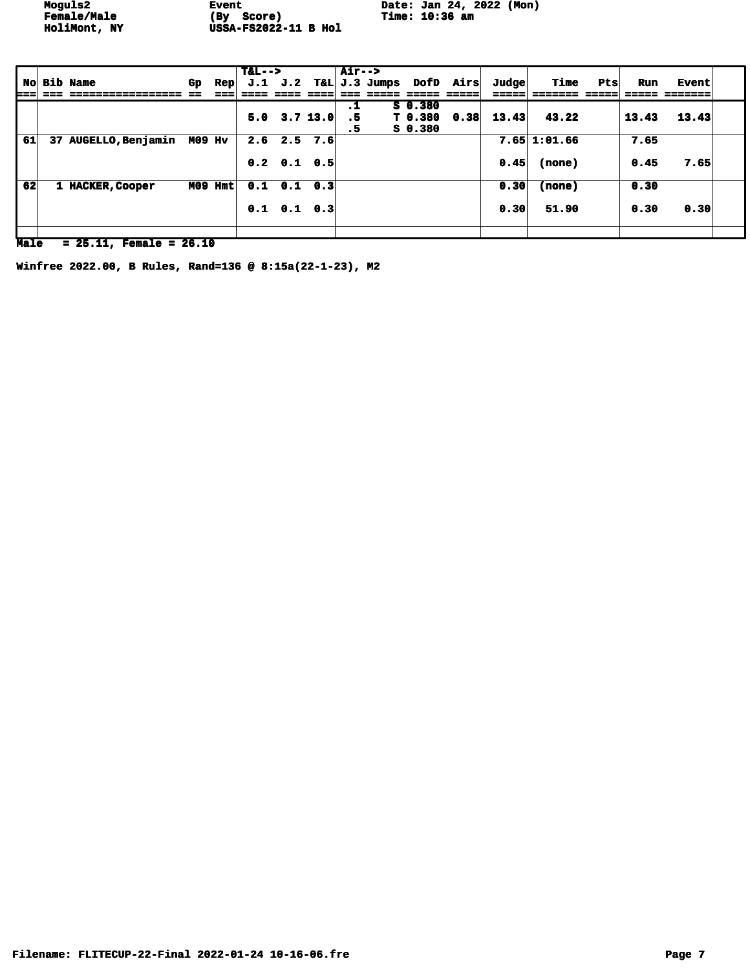**Moguls2 Event Example 1 Example 1 Date: Jan 24, 2022 (Mon)** 

|     |                      |               |     | $T&L-->$ |                           |            | $Air--$   |               |           |                  |       |                |     |       |              |  |
|-----|----------------------|---------------|-----|----------|---------------------------|------------|-----------|---------------|-----------|------------------|-------|----------------|-----|-------|--------------|--|
|     | <b>No Bib Name</b>   | Gp.           | Rep | J.1      | J.2                       |            |           | T&L J.3 Jumps |           | <b>DofD Airs</b> | Judge | Time           | Pts | Run   | <b>Event</b> |  |
| ⊨== |                      |               |     |          |                           |            |           |               |           |                  | ====: |                |     |       |              |  |
|     |                      |               |     |          |                           |            | $\cdot$ 1 |               | $S_0.380$ |                  |       |                |     |       |              |  |
|     |                      |               |     | 5.0      |                           | $3.7$ 13.0 | .5        |               | T 0.380   | 0.38             | 13.43 | 43.22          |     | 13.43 | 13.43        |  |
|     |                      |               |     |          |                           |            | . 5       |               | S 0.380   |                  |       |                |     |       |              |  |
| 61  | 37 AUGELLO, Benjamin | <b>M09 Hv</b> |     | 2.6      |                           | $2.5$ 7.6  |           |               |           |                  |       | $7.65$ 1:01.66 |     | 7.65  |              |  |
|     |                      |               |     |          |                           |            |           |               |           |                  |       |                |     |       |              |  |
|     |                      |               |     |          | $0.2 \quad 0.1 \quad 0.5$ |            |           |               |           |                  | 0.45  | (none)         |     | 0.45  | 7.65         |  |
|     |                      |               |     |          |                           |            |           |               |           |                  |       |                |     |       |              |  |
| 62  | 1 HACKER, Cooper     | M09 Hmt       |     |          | $0.1$ $0.1$ $0.3$         |            |           |               |           |                  | 0.30  | (none)         |     | 0.30  |              |  |
|     |                      |               |     |          |                           |            |           |               |           |                  |       |                |     |       |              |  |
|     |                      |               |     |          | $0.1 \t 0.1 \t 0.3$       |            |           |               |           |                  | 0.30  | 51.90          |     | 0.30  | 0.30         |  |
|     |                      |               |     |          |                           |            |           |               |           |                  |       |                |     |       |              |  |
|     |                      |               |     |          |                           |            |           |               |           |                  |       |                |     |       |              |  |

**Male = 25.11, Female = 26.10**

**Winfree 2022.00, B Rules, Rand=136 @ 8:15a(22-1-23), M2**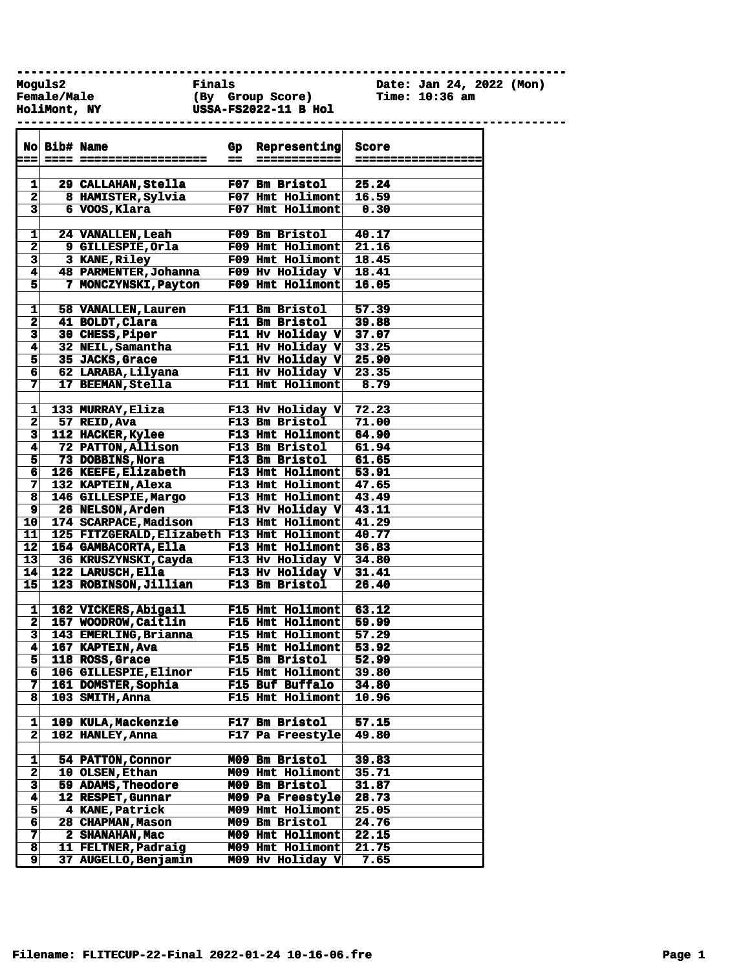**------------------------------------------------------------------------------**

**Female/Male (By Group Score) Time: 10:36 am HoliMont, NY USSA-FS2022-11 B Hol ------------------------------------------------------------------------------**

**Moguls2 Finals Date: Jan 24, 2022 (Mon)**

|                         | No Bib# Name |                                               | Gp | Representing             | <b>Score</b>       |
|-------------------------|--------------|-----------------------------------------------|----|--------------------------|--------------------|
| s = = 1                 |              |                                               | -- | ============             | ================== |
|                         |              |                                               |    |                          |                    |
| 1                       |              | 29 CALLAHAN, Stella                           |    | F07 Bm Bristol           | 25.24              |
| $\overline{\mathbf{2}}$ |              | 8 HAMISTER, Sylvia                            |    | F07 Hmt Holimont         | 16.59              |
| $\overline{\mathbf{3}}$ |              | 6 VOOS, Klara                                 |    | F07 Hmt Holimont         | 0.30               |
|                         |              |                                               |    |                          |                    |
| 1                       |              | <b>24 VANALLEN, Leah</b>                      |    | F09 Bm Bristol           | 40.17              |
| $\mathbf 2$             |              | 9 GILLESPIE, Orla                             |    | F09 Hmt Holimont         | 21.16              |
| $\overline{\mathbf{3}}$ |              | 3 KANE, Riley                                 |    | F09 Hmt Holimont         | 18.45              |
| $\overline{\mathbf{4}}$ |              | 48 PARMENTER, Johanna                         |    | F09 Hv Holiday V         | 18.41              |
| $\overline{\mathbf{5}}$ |              | 7 MONCZYNSKI, Payton                          |    | F09 Hmt Holimont         | 16.05              |
|                         |              |                                               |    |                          |                    |
| 1                       |              | 58 VANALLEN, Lauren                           |    | F11 Bm Bristol           | 57.39              |
| $\overline{\mathbf{2}}$ |              | 41 BOLDT, Clara                               |    | F11 Bm Bristol           | 39.88              |
| $\mathbf{3}$            |              | 30 CHESS, Piper                               |    | F11 Hv Holiday $V$ 37.07 |                    |
| $\overline{4}$          |              | 32 NEIL, Samantha                             |    | F11 Hv Holiday $V$ 33.25 |                    |
| $\overline{\mathbf{5}}$ |              | 35 JACKS, Grace                               |    | F11 Hv Holiday $V$ 25.90 |                    |
| $6\overline{6}$         |              | 62 LARABA, Lilyana                            |    | F11 Hv Holiday V $23.35$ |                    |
| 7                       |              | 17 BEEMAN, Stella                             |    | F11 Hmt Holimont         | 8.79               |
|                         |              |                                               |    |                          |                    |
| 1                       |              | 133 MURRAY, Eliza                             |    | F13 Hv Holiday V         | 72.23              |
| $\mathbf{2}$            |              | 57 REID, Ava                                  |    | F13 Bm Bristol           | 71.00              |
| $\overline{\mathbf{3}}$ |              | 112 HACKER, Kylee                             |    | <b>F13 Hmt Holimont</b>  | 64.90              |
| $\blacktriangleleft$    |              | 72 PATTON, Allison                            |    | <b>F13 Bm Bristol</b>    | 61.94              |
| 5 <sup>1</sup>          |              | 73 DOBBINS, Nora                              |    | F13 Bm Bristol           | 61.65              |
| 6 <sup>1</sup>          |              | 126 KEEFE, Elizabeth                          |    | <b>F13 Hmt Holimont</b>  | 53.91              |
| 7                       |              | 132 KAPTEIN, Alexa                            |    | <b>F13 Hmt Holimont</b>  | 47.65              |
| 8                       |              | 146 GILLESPIE, Margo                          |    | F13 Hmt Holimont         | 43.49              |
| 9 <sup>1</sup>          |              | 26 NELSON, Arden                              |    | F13 Hv Holiday V         | 43.11              |
| 10                      |              | 174 SCARPACE, Madison                         |    | F13 Hmt Holimont         | 41.29              |
| $11$                    |              | 125 FITZGERALD, Elizabeth F13 Hmt Holimont    |    |                          | 40.77              |
| 12                      |              | 154 GAMBACORTA, Ella                          |    | F13 Hmt Holimont         | 36.83              |
| 13                      |              | 36 KRUSZYNSKI, Cayda                          |    | F13 Hv Holiday V         | 34.80              |
| 14                      |              | 122 LARUSCH, Ella                             |    | F13 Hv Holiday V         | 31.41              |
| 15                      |              | 123 ROBINSON, Jillian                         |    | F13 Bm Bristol           | 26.40              |
|                         |              |                                               |    |                          |                    |
|                         |              |                                               |    |                          |                    |
| 1                       |              | 162 VICKERS, Abigail                          |    | F15 Hmt Holimont 63.12   |                    |
| $\mathbf{2}$            |              | 157 WOODROW, Caitlin<br>143 EMERLING, Brianna |    | <b>F15 Hmt Holimont</b>  | 59.99              |
| $\overline{\mathbf{3}}$ |              |                                               |    | <b>F15 Hmt Holimont</b>  | 57.29              |
| $\blacktriangleleft$    |              | 167 KAPTEIN, Ava                              |    | F15 Hmt Holimont         | 53.92              |
| $\overline{\mathsf{s}}$ |              | 118 ROSS, Grace                               |    | <b>F15 Bm Bristol</b>    | 52.99              |
| 6                       |              | 106 GILLESPIE, Elinor                         |    | F15 Hmt Holimont         | 39.80              |
| 7                       |              | 161 DOMSTER, Sophia                           |    | <b>F15 Buf Buffalo</b>   | 34.80              |
| 8                       |              | 103 SMITH, Anna                               |    | F15 Hmt Holimont         | 10.96              |
|                         |              |                                               |    |                          |                    |
| 1                       |              | 109 KULA, Mackenzie                           |    | F17 Bm Bristol           | 57.15              |
| $\mathbf{2}$            |              | 102 HANLEY, Anna                              |    | F17 Pa Freestyle         | 49.80              |
|                         |              |                                               |    |                          |                    |
| 1                       |              | 54 PATTON, Connor                             |    | M09 Bm Bristol           | 39.83              |
| $\mathbf 2$             |              | 10 OLSEN, Ethan                               |    | M09 Hmt Holimont         | 35.71              |
| 3                       |              | 59 ADAMS, Theodore                            |    | M09 Bm Bristol           | 31.87              |
| 4                       |              | 12 RESPET, Gunnar                             |    | M09 Pa Freestyle         | 28.73              |
| 5                       |              | 4 KANE, Patrick                               |    | M09 Hmt Holimont         | 25.05              |
| 6                       |              | 28 CHAPMAN, Mason                             |    | M09 Bm Bristol           | 24.76              |
| 7                       |              | 2 SHANAHAN, Mac                               |    | M09 Hmt Holimont         | 22.15              |
| 8                       |              | 11 FELTNER, Padraig                           |    | M09 Hmt Holimont         | 21.75              |
| 9                       |              | 37 AUGELLO, Benjamin                          |    | M09 Hv Holiday V         | 7.65               |